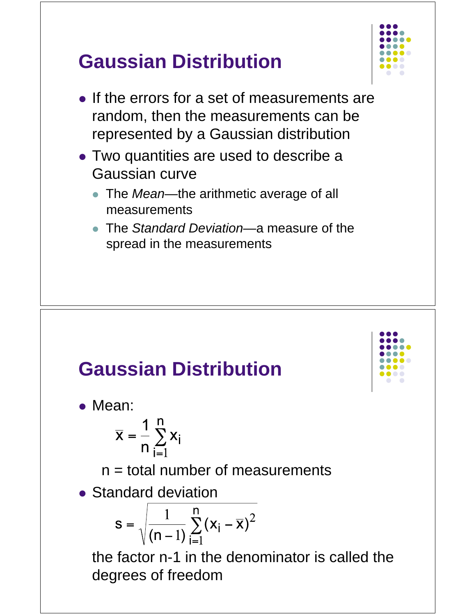



• Mean:

$$
\overline{\mathbf{x}} = \frac{1}{n} \sum_{i=1}^{n} \mathbf{x}_i
$$

 $n =$  total number of measurements

• Standard deviation

$$
s = \sqrt{\frac{1}{(n-1)}\sum_{i=1}^{n} (x_i - \overline{x})^2}
$$

 the factor n-1 in the denominator is called the degrees of freedom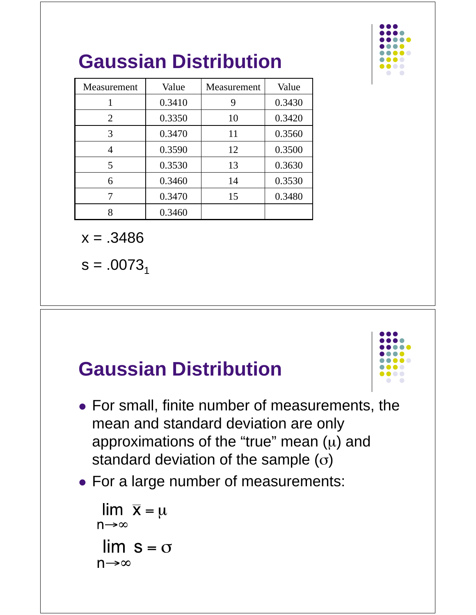

| Measurement    | Value  | Measurement | Value  |
|----------------|--------|-------------|--------|
|                | 0.3410 | 9           | 0.3430 |
| $\overline{2}$ | 0.3350 | 10          | 0.3420 |
| 3              | 0.3470 | 11          | 0.3560 |
| 4              | 0.3590 | 12          | 0.3500 |
| 5              | 0.3530 | 13          | 0.3630 |
| 6              | 0.3460 | 14          | 0.3530 |
|                | 0.3470 | 15          | 0.3480 |
| 8              | 0.3460 |             |        |

 $x = .3486$ 

 $s = .0073_1$ 

### **Gaussian Distribution**



- For small, finite number of measurements, the mean and standard deviation are only approximations of the "true" mean  $(\mu)$  and standard deviation of the sample  $(\sigma)$
- For a large number of measurements:

```
\lim \overline{x} = \mun \rightarrow \infty\lim s = \sigman \rightarrow \infty
```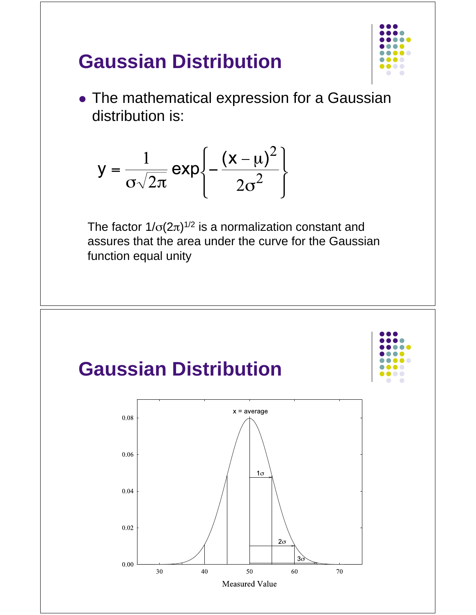

• The mathematical expression for a Gaussian distribution is:

$$
y = \frac{1}{\sigma \sqrt{2\pi}} \exp \left\{-\frac{(x-\mu)^2}{2\sigma^2}\right\}
$$

The factor 1/ $\sigma$ (2 $\pi$ )<sup>1/2</sup> is a normalization constant and assures that the area under the curve for the Gaussian function equal unity

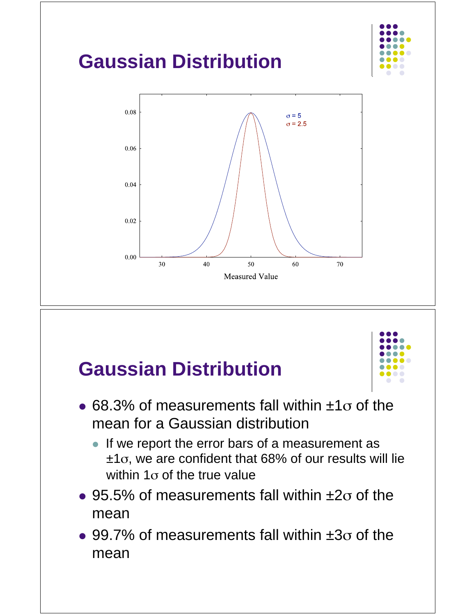



- 68.3% of measurements fall within  $\pm 1\sigma$  of the mean for a Gaussian distribution
	- If we report the error bars of a measurement as  $±1\sigma$ , we are confident that 68% of our results will lie within 1 $\sigma$  of the true value
- 95.5% of measurements fall within  $\pm 2\sigma$  of the mean
- $\bullet$  99.7% of measurements fall within  $\pm 3\sigma$  of the mean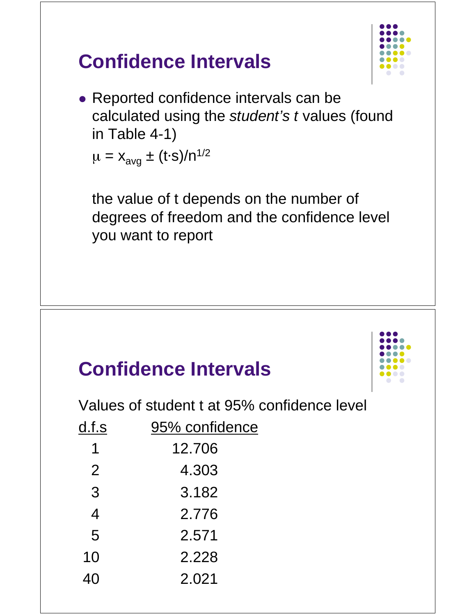

#### • Reported confidence intervals can be calculated using the *student's t* values (found in Table 4-1)

 $\mu = x_{avg} \pm (t \cdot s) / n^{1/2}$ 

**Confidence Intervals** 

 the value of t depends on the number of degrees of freedom and the confidence level you want to report

### **Confidence Intervals**



Values of student t at 95% confidence level

| d.f.s          | 95% confidence |  |
|----------------|----------------|--|
| 1              | 12.706         |  |
| $\overline{2}$ | 4.303          |  |
| 3              | 3.182          |  |
| $\overline{4}$ | 2.776          |  |
| 5              | 2.571          |  |
| 10             | 2.228          |  |
| 40             | 2.021          |  |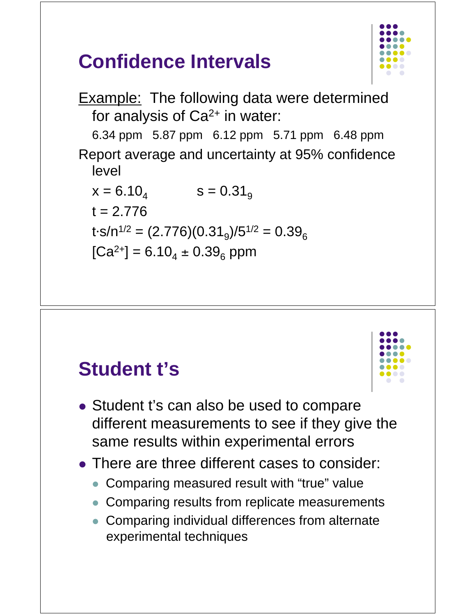# **Confidence Intervals**



Example: The following data were determined for analysis of  $Ca<sup>2+</sup>$  in water: 6.34 ppm 5.87 ppm 6.12 ppm 5.71 ppm 6.48 ppm Report average and uncertainty at 95% confidence level  $x = 6.10_{4}$   $s = 0.31_{9}$  $t = 2.776$  $t \cdot s/n^{1/2} = (2.776)(0.31_g)/5^{1/2} = 0.39_g$  $[Ca^{2+}] = 6.10_4 \pm 0.39_6$  ppm

### **Student t's**

- Student t's can also be used to compare different measurements to see if they give the same results within experimental errors
- There are three different cases to consider:
	- Comparing measured result with "true" value
	- Comparing results from replicate measurements
	- Comparing individual differences from alternate experimental techniques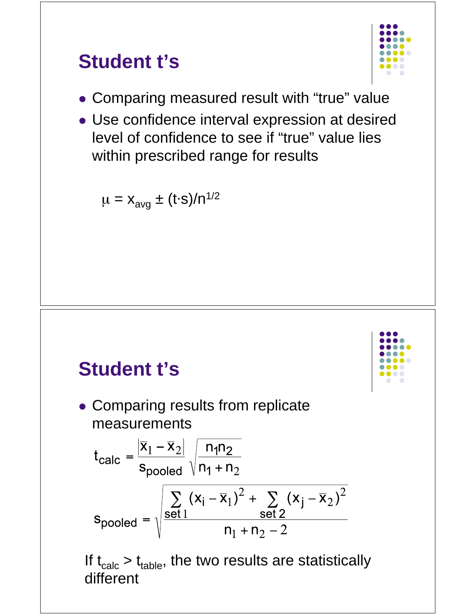### **Student t's**



- Comparing measured result with "true" value
- Use confidence interval expression at desired level of confidence to see if "true" value lies within prescribed range for results

 $\mu = x_{avg} \pm (t \cdot s) / n^{1/2}$ 

#### **Student t's**

• Comparing results from replicate measurements

$$
t_{\text{calc}} = \frac{|\overline{x}_1 - \overline{x}_2|}{s_{\text{pooled}}} \sqrt{\frac{n_1 n_2}{n_1 + n_2}}
$$
  

$$
s_{\text{pooled}} = \sqrt{\frac{\sum_{\text{set }1} (x_i - \overline{x}_1)^2 + \sum_{\text{set }2} (x_j - \overline{x}_2)^2}{n_1 + n_2 - 2}}
$$

If  $t_{calc} > t_{table}$ , the two results are statistically different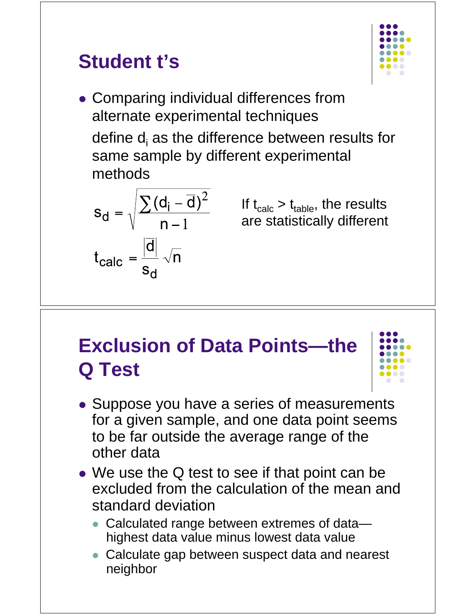# **Student t's**



 Comparing individual differences from alternate experimental techniques define  $d_i$  as the difference between results for same sample by different experimental methods

$$
s_d = \sqrt{\frac{\sum (d_i - \overline{d})^2}{n - 1}}
$$

$$
t_{calc} = \frac{|\overline{d}|}{s_d} \sqrt{n}
$$

If  $t_{calc} > t_{table}$ , the results are statistically different

## **Exclusion of Data Points—the Q Test**



- Suppose you have a series of measurements for a given sample, and one data point seems to be far outside the average range of the other data
- We use the Q test to see if that point can be excluded from the calculation of the mean and standard deviation
	- Calculated range between extremes of data highest data value minus lowest data value
	- Calculate gap between suspect data and nearest neighbor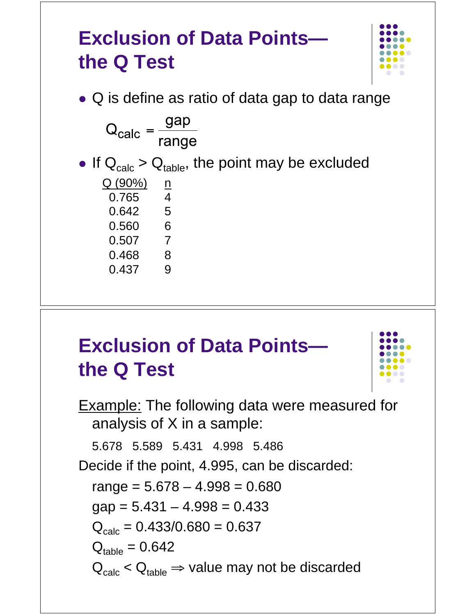### **Exclusion of Data Points the Q Test**



• Q is define as ratio of data gap to data range  $Q_{\text{calc}} = \frac{gap}{range}$ If  $Q_{calc} > Q_{table}$ , the point may be excluded  $Q(90\%)$  n 0.765 4 0.642 5 0.560 6 0.507 7<br>0.468 8  $0.468$ 0.437 9

# **Exclusion of Data Points the Q Test**



Example: The following data were measured for analysis of X in a sample: 5.678 5.589 5.431 4.998 5.486 Decide if the point, 4.995, can be discarded:  $range = 5.678 - 4.998 = 0.680$  $gap = 5.431 - 4.998 = 0.433$  $Q_{\text{calc}} = 0.433/0.680 = 0.637$  $Q_{\text{table}} = 0.642$  $Q_{\text{calc}} < Q_{\text{table}} \Rightarrow$  value may not be discarded